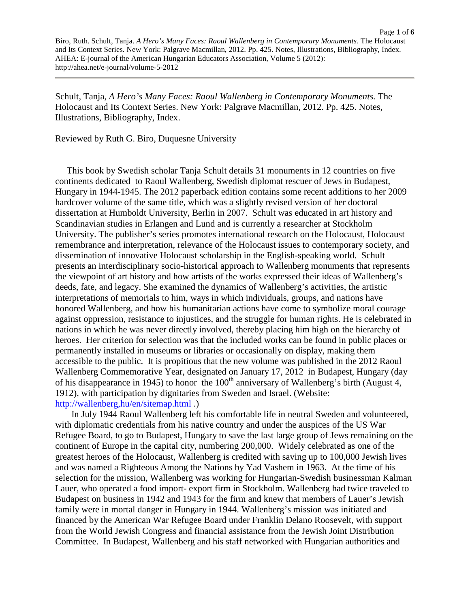Schult, Tanja, *A Hero's Many Faces: Raoul Wallenberg in Contemporary Monuments.* The Holocaust and Its Context Series. New York: Palgrave Macmillan, 2012. Pp. 425. Notes, Illustrations, Bibliography, Index.

Reviewed by Ruth G. Biro, Duquesne University

 This book by Swedish scholar Tanja Schult details 31 monuments in 12 countries on five continents dedicated to Raoul Wallenberg, Swedish diplomat rescuer of Jews in Budapest, Hungary in 1944-1945. The 2012 paperback edition contains some recent additions to her 2009 hardcover volume of the same title, which was a slightly revised version of her doctoral dissertation at Humboldt University, Berlin in 2007. Schult was educated in art history and Scandinavian studies in Erlangen and Lund and is currently a researcher at Stockholm University. The publisher's series promotes international research on the Holocaust, Holocaust remembrance and interpretation, relevance of the Holocaust issues to contemporary society, and dissemination of innovative Holocaust scholarship in the English-speaking world. Schult presents an interdisciplinary socio-historical approach to Wallenberg monuments that represents the viewpoint of art history and how artists of the works expressed their ideas of Wallenberg's deeds, fate, and legacy. She examined the dynamics of Wallenberg's activities, the artistic interpretations of memorials to him, ways in which individuals, groups, and nations have honored Wallenberg, and how his humanitarian actions have come to symbolize moral courage against oppression, resistance to injustices, and the struggle for human rights. He is celebrated in nations in which he was never directly involved, thereby placing him high on the hierarchy of heroes. Her criterion for selection was that the included works can be found in public places or permanently installed in museums or libraries or occasionally on display, making them accessible to the public. It is propitious that the new volume was published in the 2012 Raoul Wallenberg Commemorative Year, designated on January 17, 2012 in Budapest, Hungary (day of his disappearance in 1945) to honor the  $100<sup>th</sup>$  anniversary of Wallenberg's birth (August 4, 1912), with participation by dignitaries from Sweden and Israel. (Website: <http://wallenberg,hu/en/sitemap.html> .)

 In July 1944 Raoul Wallenberg left his comfortable life in neutral Sweden and volunteered, with diplomatic credentials from his native country and under the auspices of the US War Refugee Board, to go to Budapest, Hungary to save the last large group of Jews remaining on the continent of Europe in the capital city, numbering 200,000. Widely celebrated as one of the greatest heroes of the Holocaust, Wallenberg is credited with saving up to 100,000 Jewish lives and was named a Righteous Among the Nations by Yad Vashem in 1963. At the time of his selection for the mission, Wallenberg was working for Hungarian-Swedish businessman Kalman Lauer, who operated a food import- export firm in Stockholm. Wallenberg had twice traveled to Budapest on business in 1942 and 1943 for the firm and knew that members of Lauer's Jewish family were in mortal danger in Hungary in 1944. Wallenberg's mission was initiated and financed by the American War Refugee Board under Franklin Delano Roosevelt, with support from the World Jewish Congress and financial assistance from the Jewish Joint Distribution Committee. In Budapest, Wallenberg and his staff networked with Hungarian authorities and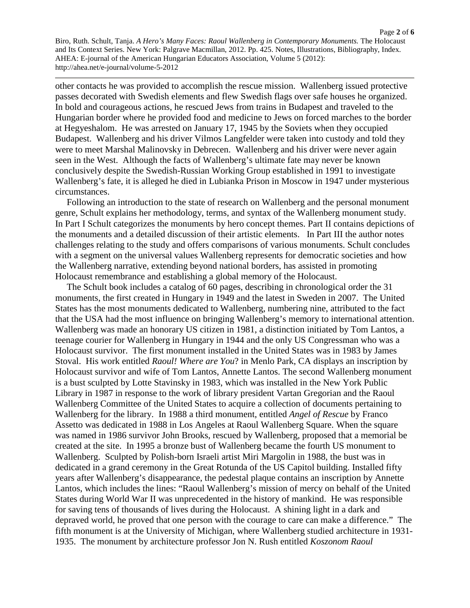other contacts he was provided to accomplish the rescue mission. Wallenberg issued protective passes decorated with Swedish elements and flew Swedish flags over safe houses he organized. In bold and courageous actions, he rescued Jews from trains in Budapest and traveled to the Hungarian border where he provided food and medicine to Jews on forced marches to the border at Hegyeshalom. He was arrested on January 17, 1945 by the Soviets when they occupied Budapest. Wallenberg and his driver Vilmos Langfelder were taken into custody and told they were to meet Marshal Malinovsky in Debrecen. Wallenberg and his driver were never again seen in the West. Although the facts of Wallenberg's ultimate fate may never be known conclusively despite the Swedish-Russian Working Group established in 1991 to investigate Wallenberg's fate, it is alleged he died in Lubianka Prison in Moscow in 1947 under mysterious circumstances.

 Following an introduction to the state of research on Wallenberg and the personal monument genre, Schult explains her methodology, terms, and syntax of the Wallenberg monument study. In Part I Schult categorizes the monuments by hero concept themes. Part II contains depictions of the monuments and a detailed discussion of their artistic elements. In Part III the author notes challenges relating to the study and offers comparisons of various monuments. Schult concludes with a segment on the universal values Wallenberg represents for democratic societies and how the Wallenberg narrative, extending beyond national borders, has assisted in promoting Holocaust remembrance and establishing a global memory of the Holocaust.

 The Schult book includes a catalog of 60 pages, describing in chronological order the 31 monuments, the first created in Hungary in 1949 and the latest in Sweden in 2007. The United States has the most monuments dedicated to Wallenberg, numbering nine, attributed to the fact that the USA had the most influence on bringing Wallenberg's memory to international attention. Wallenberg was made an honorary US citizen in 1981, a distinction initiated by Tom Lantos, a teenage courier for Wallenberg in Hungary in 1944 and the only US Congressman who was a Holocaust survivor. The first monument installed in the United States was in 1983 by James Stoval. His work entitled *Raoul! Where are You*? in Menlo Park, CA displays an inscription by Holocaust survivor and wife of Tom Lantos, Annette Lantos. The second Wallenberg monument is a bust sculpted by Lotte Stavinsky in 1983, which was installed in the New York Public Library in 1987 in response to the work of library president Vartan Gregorian and the Raoul Wallenberg Committee of the United States to acquire a collection of documents pertaining to Wallenberg for the library. In 1988 a third monument, entitled *Angel of Rescue* by Franco Assetto was dedicated in 1988 in Los Angeles at Raoul Wallenberg Square. When the square was named in 1986 survivor John Brooks, rescued by Wallenberg, proposed that a memorial be created at the site. In 1995 a bronze bust of Wallenberg became the fourth US monument to Wallenberg. Sculpted by Polish-born Israeli artist Miri Margolin in 1988, the bust was in dedicated in a grand ceremony in the Great Rotunda of the US Capitol building. Installed fifty years after Wallenberg's disappearance, the pedestal plaque contains an inscription by Annette Lantos, which includes the lines: "Raoul Wallenberg's mission of mercy on behalf of the United States during World War II was unprecedented in the history of mankind. He was responsible for saving tens of thousands of lives during the Holocaust. A shining light in a dark and depraved world, he proved that one person with the courage to care can make a difference." The fifth monument is at the University of Michigan, where Wallenberg studied architecture in 1931- 1935. The monument by architecture professor Jon N. Rush entitled *Koszonom Raoul*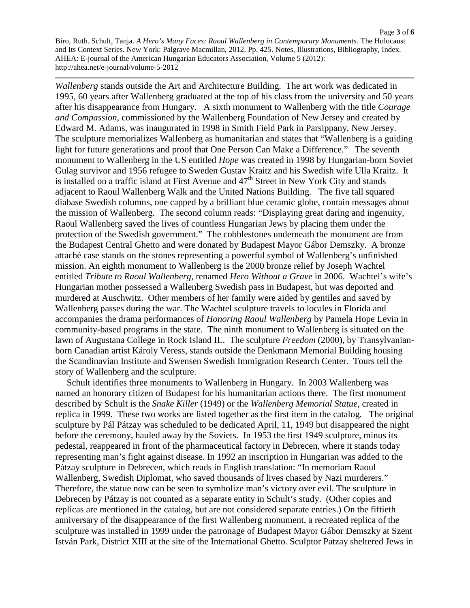*Wallenberg* stands outside the Art and Architecture Building. The art work was dedicated in 1995, 60 years after Wallenberg graduated at the top of his class from the university and 50 years after his disappearance from Hungary. A sixth monument to Wallenberg with the title *Courage and Compassion*, commissioned by the Wallenberg Foundation of New Jersey and created by Edward M. Adams, was inaugurated in 1998 in Smith Field Park in Parsippany, New Jersey. The sculpture memorializes Wallenberg as humanitarian and states that "Wallenberg is a guiding light for future generations and proof that One Person Can Make a Difference." The seventh monument to Wallenberg in the US entitled *Hope* was created in 1998 by Hungarian-born Soviet Gulag survivor and 1956 refugee to Sweden Gustav Kraitz and his Swedish wife Ulla Kraitz. It is installed on a traffic island at First Avenue and  $47<sup>th</sup>$  Street in New York City and stands adjacent to Raoul Wallenberg Walk and the United Nations Building. The five tall squared diabase Swedish columns, one capped by a brilliant blue ceramic globe, contain messages about the mission of Wallenberg. The second column reads: "Displaying great daring and ingenuity, Raoul Wallenberg saved the lives of countless Hungarian Jews by placing them under the protection of the Swedish government." The cobblestones underneath the monument are from the Budapest Central Ghetto and were donated by Budapest Mayor Gábor Demszky. A bronze attaché case stands on the stones representing a powerful symbol of Wallenberg's unfinished mission. An eighth monument to Wallenberg is the 2000 bronze relief by Joseph Wachtel entitled *Tribute to Raoul Wallenberg,* renamed *Hero Without a Grave* in 2006. Wachtel's wife's Hungarian mother possessed a Wallenberg Swedish pass in Budapest, but was deported and murdered at Auschwitz. Other members of her family were aided by gentiles and saved by Wallenberg passes during the war. The Wachtel sculpture travels to locales in Florida and accompanies the drama performances of *Honoring Raoul Wallenberg* by Pamela Hope Levin in community-based programs in the state. The ninth monument to Wallenberg is situated on the lawn of Augustana College in Rock Island IL. The sculpture *Freedom* (2000), by Transylvanianborn Canadian artist Károly Veress, stands outside the Denkmann Memorial Building housing the Scandinavian Institute and Swensen Swedish Immigration Research Center. Tours tell the story of Wallenberg and the sculpture.

 Schult identifies three monuments to Wallenberg in Hungary. In 2003 Wallenberg was named an honorary citizen of Budapest for his humanitarian actions there. The first monument described by Schult is the *Snake Killer* (1949) or the *Wallenberg Memorial Statue,* created in replica in 1999. These two works are listed together as the first item in the catalog. The original sculpture by Pál Pátzay was scheduled to be dedicated April, 11, 1949 but disappeared the night before the ceremony, hauled away by the Soviets. In 1953 the first 1949 sculpture, minus its pedestal, reappeared in front of the pharmaceutical factory in Debrecen, where it stands today representing man's fight against disease. In 1992 an inscription in Hungarian was added to the Pátzay sculpture in Debrecen, which reads in English translation: "In memoriam Raoul Wallenberg, Swedish Diplomat, who saved thousands of lives chased by Nazi murderers." Therefore, the statue now can be seen to symbolize man's victory over evil. The sculpture in Debrecen by Pátzay is not counted as a separate entity in Schult's study. (Other copies and replicas are mentioned in the catalog, but are not considered separate entries.) On the fiftieth anniversary of the disappearance of the first Wallenberg monument, a recreated replica of the sculpture was installed in 1999 under the patronage of Budapest Mayor Gábor Demszky at Szent István Park, District XIII at the site of the International Ghetto. Sculptor Patzay sheltered Jews in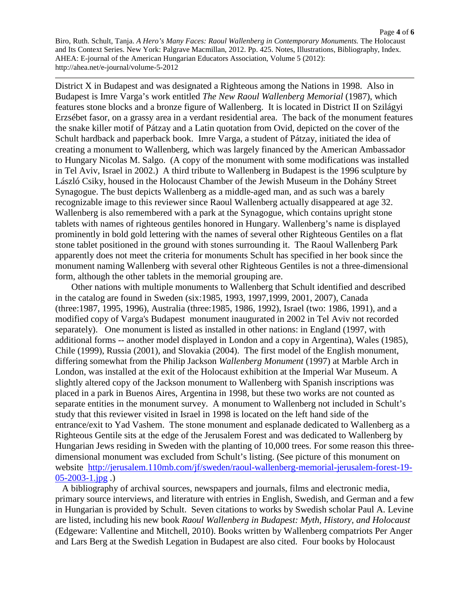Page **4** of **6** Biro, Ruth. Schult, Tanja. *A Hero's Many Faces: Raoul Wallenberg in Contemporary Monuments.* The Holocaust and Its Context Series. New York: Palgrave Macmillan, 2012. Pp. 425. Notes, Illustrations, Bibliography, Index. AHEA: E-journal of the American Hungarian Educators Association, Volume 5 (2012): http://ahea.net/e-journal/volume-5-2012

District X in Budapest and was designated a Righteous among the Nations in 1998. Also in Budapest is Imre Varga's work entitled *The New Raoul Wallenberg Memorial* (1987), which features stone blocks and a bronze figure of Wallenberg. It is located in District II on Szilágyi Erzsébet fasor, on a grassy area in a verdant residential area. The back of the monument features the snake killer motif of Pátzay and a Latin quotation from Ovid, depicted on the cover of the Schult hardback and paperback book. Imre Varga, a student of Pátzay, initiated the idea of creating a monument to Wallenberg, which was largely financed by the American Ambassador to Hungary Nicolas M. Salgo. (A copy of the monument with some modifications was installed in Tel Aviv, Israel in 2002.) A third tribute to Wallenberg in Budapest is the 1996 sculpture by László Csiky, housed in the Holocaust Chamber of the Jewish Museum in the Dohány Street Synagogue. The bust depicts Wallenberg as a middle-aged man, and as such was a barely recognizable image to this reviewer since Raoul Wallenberg actually disappeared at age 32. Wallenberg is also remembered with a park at the Synagogue, which contains upright stone tablets with names of righteous gentiles honored in Hungary. Wallenberg's name is displayed prominently in bold gold lettering with the names of several other Righteous Gentiles on a flat stone tablet positioned in the ground with stones surrounding it. The Raoul Wallenberg Park apparently does not meet the criteria for monuments Schult has specified in her book since the monument naming Wallenberg with several other Righteous Gentiles is not a three-dimensional form, although the other tablets in the memorial grouping are.

 Other nations with multiple monuments to Wallenberg that Schult identified and described in the catalog are found in Sweden (six:1985, 1993, 1997,1999, 2001, 2007), Canada (three:1987, 1995, 1996), Australia (three:1985, 1986, 1992), Israel (two: 1986, 1991), and a modified copy of Varga's Budapest monument inaugurated in 2002 in Tel Aviv not recorded separately). One monument is listed as installed in other nations: in England (1997, with additional forms -- another model displayed in London and a copy in Argentina), Wales (1985), Chile (1999), Russia (2001), and Slovakia (2004). The first model of the English monument, differing somewhat from the Philip Jackson *Wallenberg Monument* (1997) at Marble Arch in London, was installed at the exit of the Holocaust exhibition at the Imperial War Museum. A slightly altered copy of the Jackson monument to Wallenberg with Spanish inscriptions was placed in a park in Buenos Aires, Argentina in 1998, but these two works are not counted as separate entities in the monument survey. A monument to Wallenberg not included in Schult's study that this reviewer visited in Israel in 1998 is located on the left hand side of the entrance/exit to Yad Vashem. The stone monument and esplanade dedicated to Wallenberg as a Righteous Gentile sits at the edge of the Jerusalem Forest and was dedicated to Wallenberg by Hungarian Jews residing in Sweden with the planting of 10,000 trees. For some reason this threedimensional monument was excluded from Schult's listing. (See picture of this monument on website [http://jerusalem.110mb.com/jf/sweden/raoul-wallenberg-memorial-jerusalem-forest-19-](http://jerusalem.110mb.com/jf/sweden/raoul-wallenberg-memorial-jerusalem-forest-19-05-2003-1.jpg)  $05 - 2003 - 1$ .jpg.)

 A bibliography of archival sources, newspapers and journals, films and electronic media, primary source interviews, and literature with entries in English, Swedish, and German and a few in Hungarian is provided by Schult. Seven citations to works by Swedish scholar Paul A. Levine are listed, including his new book *Raoul Wallenberg in Budapest: Myth, History, and Holocaust* (Edgeware: Vallentine and Mitchell, 2010). Books written by Wallenberg compatriots Per Anger and Lars Berg at the Swedish Legation in Budapest are also cited. Four books by Holocaust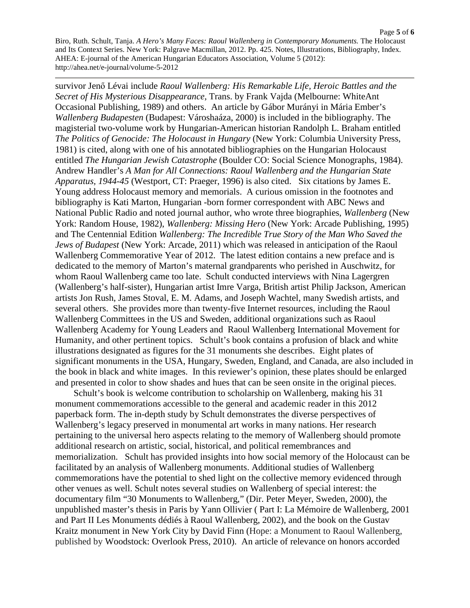Page **5** of **6** Biro, Ruth. Schult, Tanja. *A Hero's Many Faces: Raoul Wallenberg in Contemporary Monuments.* The Holocaust and Its Context Series. New York: Palgrave Macmillan, 2012. Pp. 425. Notes, Illustrations, Bibliography, Index. AHEA: E-journal of the American Hungarian Educators Association, Volume 5 (2012): http://ahea.net/e-journal/volume-5-2012

survivor Jenő Lévai include *Raoul Wallenberg: His Remarkable Life, Heroic Battles and the Secret of His Mysterious Disappearance,* Trans. by Frank Vajda (Melbourne: WhiteAnt Occasional Publishing, 1989) and others. An article by Gábor Murányi in Mária Ember's *Wallenberg Budapesten* (Budapest: Városhaáza, 2000) is included in the bibliography. The magisterial two-volume work by Hungarian-American historian Randolph L. Braham entitled *The Politics of Genocide: The Holocaust in Hungary* (New York: Columbia University Press, 1981) is cited, along with one of his annotated bibliographies on the Hungarian Holocaust entitled *The Hungarian Jewish Catastrophe* (Boulder CO: Social Science Monographs, 1984). Andrew Handler's *A Man for All Connections: Raoul Wallenberg and the Hungarian State Apparatus, 1944-45* (Westport, CT: Praeger, 1996) is also cited. Six citations by James E. Young address Holocaust memory and memorials. A curious omission in the footnotes and bibliography is Kati Marton, Hungarian -born former correspondent with ABC News and National Public Radio and noted journal author, who wrote three biographies, *Wallenberg* (New York: Random House, 1982), *Wallenberg: Missing Hero* (New York: Arcade Publishing, 1995) and The Centennial Edition *Wallenberg: The Incredible True Story of the Man Who Saved the Jews of Budapest* (New York: Arcade, 2011) which was released in anticipation of the Raoul Wallenberg Commemorative Year of 2012. The latest edition contains a new preface and is dedicated to the memory of Marton's maternal grandparents who perished in Auschwitz, for whom Raoul Wallenberg came too late. Schult conducted interviews with Nina Lagergren (Wallenberg's half-sister), Hungarian artist Imre Varga, British artist Philip Jackson, American artists Jon Rush, James Stoval, E. M. Adams, and Joseph Wachtel, many Swedish artists, and several others. She provides more than twenty-five Internet resources, including the Raoul Wallenberg Committees in the US and Sweden, additional organizations such as Raoul Wallenberg Academy for Young Leaders and Raoul Wallenberg International Movement for Humanity, and other pertinent topics. Schult's book contains a profusion of black and white illustrations designated as figures for the 31 monuments she describes. Eight plates of significant monuments in the USA, Hungary, Sweden, England, and Canada, are also included in the book in black and white images. In this reviewer's opinion, these plates should be enlarged and presented in color to show shades and hues that can be seen onsite in the original pieces.

 Schult's book is welcome contribution to scholarship on Wallenberg, making his 31 monument commemorations accessible to the general and academic reader in this 2012 paperback form. The in-depth study by Schult demonstrates the diverse perspectives of Wallenberg's legacy preserved in monumental art works in many nations. Her research pertaining to the universal hero aspects relating to the memory of Wallenberg should promote additional research on artistic, social, historical, and political remembrances and memorialization. Schult has provided insights into how social memory of the Holocaust can be facilitated by an analysis of Wallenberg monuments. Additional studies of Wallenberg commemorations have the potential to shed light on the collective memory evidenced through other venues as well. Schult notes several studies on Wallenberg of special interest: the documentary film "30 Monuments to Wallenberg," (Dir. Peter Meyer, Sweden, 2000), the unpublished master's thesis in Paris by Yann Ollivier ( Part I: La Mémoire de Wallenberg, 2001 and Part II Les Monuments dédiés à Raoul Wallenberg, 2002), and the book on the Gustav Kraitz monument in New York City by David Finn (Hope: a Monument to Raoul Wallenberg, published by Woodstock: Overlook Press, 2010). An article of relevance on honors accorded